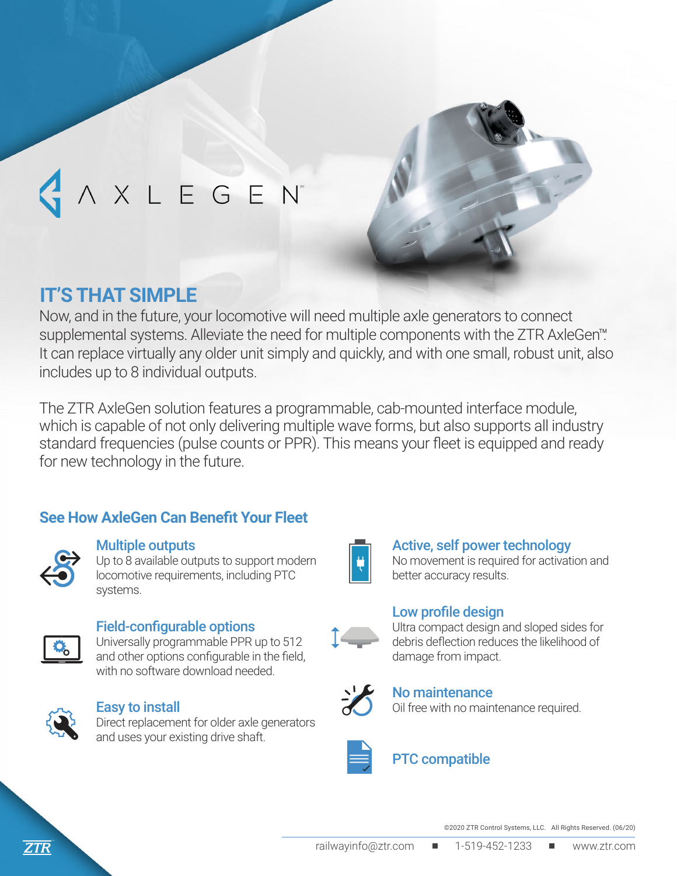

# A X L E G E N'

## **IT'S THAT SIMPLE**

Now, and in the future, your locomotive will need multiple axle generators to connect supplemental systems. Alleviate the need for multiple components with the ZTR AxleGen<sup>™</sup>. It can replace virtually any older unit simply and quickly, and with one small, robust unit, also includes up to 8 individual outputs.

The ZTR AxleGen solution features a programmable, cab-mounted interface module, which is capable of not only delivering multiple wave forms, but also supports all industry standard frequencies (pulse counts or PPR). This means your fleet is equipped and ready for new technology in the future.

## **See How AxleGen Can Benefit Your Fleet**



#### Multiple outputs

Up to 8 available outputs to support modern locomotive requirements, including PTC systems.



#### Field-configurable options

Universally programmable PPR up to 512 and other options configurable in the field, with no software download needed.



#### Easy to install

Direct replacement for older axle generators and uses your existing drive shaft.



## Active, self power technology

No movement is required for activation and better accuracy results.

#### Low profile design



Ultra compact design and sloped sides for debris deflection reduces the likelihood of damage from impact.



### No maintenance

Oil free with no maintenance required.



## PTC compatible

©2020 ZTR Control Systems, LLC. All Rights Reserved. (06/20)